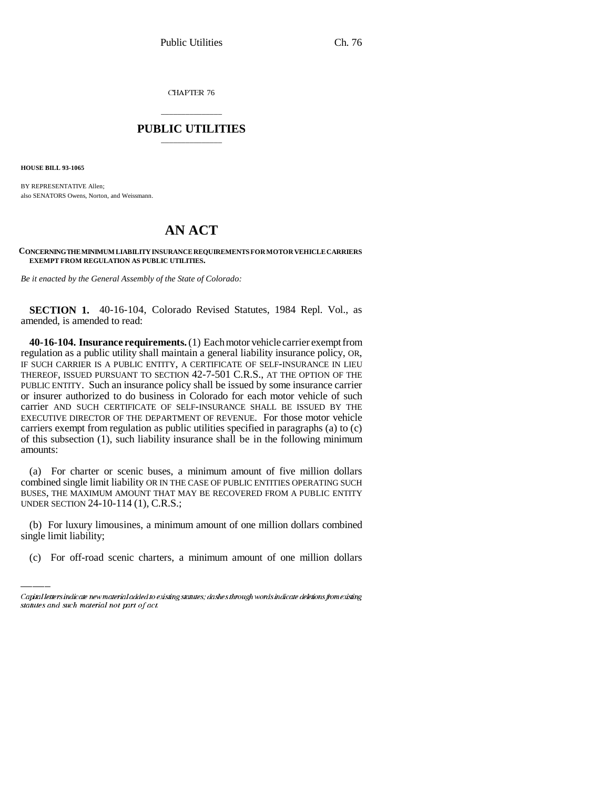CHAPTER 76

## \_\_\_\_\_\_\_\_\_\_\_\_\_\_\_ **PUBLIC UTILITIES** \_\_\_\_\_\_\_\_\_\_\_\_\_\_\_

**HOUSE BILL 93-1065**

BY REPRESENTATIVE Allen; also SENATORS Owens, Norton, and Weissmann.

## **AN ACT**

## **CONCERNING THE MINIMUM LIABILITY INSURANCE REQUIREMENTS FOR MOTOR VEHICLE CARRIERS EXEMPT FROM REGULATION AS PUBLIC UTILITIES.**

*Be it enacted by the General Assembly of the State of Colorado:*

**SECTION 1.** 40-16-104, Colorado Revised Statutes, 1984 Repl. Vol., as amended, is amended to read:

**40-16-104. Insurance requirements.** (1) Each motor vehicle carrier exempt from regulation as a public utility shall maintain a general liability insurance policy, OR, IF SUCH CARRIER IS A PUBLIC ENTITY, A CERTIFICATE OF SELF-INSURANCE IN LIEU THEREOF, ISSUED PURSUANT TO SECTION 42-7-501 C.R.S., AT THE OPTION OF THE PUBLIC ENTITY. Such an insurance policy shall be issued by some insurance carrier or insurer authorized to do business in Colorado for each motor vehicle of such carrier AND SUCH CERTIFICATE OF SELF-INSURANCE SHALL BE ISSUED BY THE EXECUTIVE DIRECTOR OF THE DEPARTMENT OF REVENUE. For those motor vehicle carriers exempt from regulation as public utilities specified in paragraphs (a) to (c) of this subsection (1), such liability insurance shall be in the following minimum amounts:

UNDER SECTION 24-10-114 (1), C.R.S.; (a) For charter or scenic buses, a minimum amount of five million dollars combined single limit liability OR IN THE CASE OF PUBLIC ENTITIES OPERATING SUCH BUSES, THE MAXIMUM AMOUNT THAT MAY BE RECOVERED FROM A PUBLIC ENTITY

(b) For luxury limousines, a minimum amount of one million dollars combined single limit liability;

(c) For off-road scenic charters, a minimum amount of one million dollars

Capital letters indicate new material added to existing statutes; dashes through words indicate deletions from existing statutes and such material not part of act.